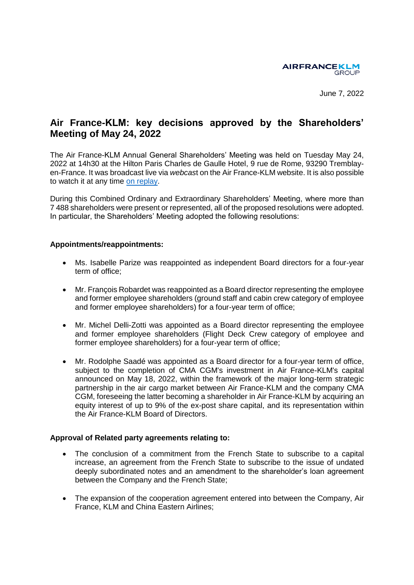

June 7, 2022

# **Air France-KLM: key decisions approved by the Shareholders' Meeting of May 24, 2022**

The Air France-KLM Annual General Shareholders' Meeting was held on Tuesday May 24, 2022 at 14h30 at the Hilton Paris Charles de Gaulle Hotel, 9 rue de Rome, 93290 Tremblayen-France. It was broadcast live via *webcas*t on the Air France-KLM website. It is also possible to watch it at any time [on replay.](https://www.yuca.tv/en/air-france-klm/assemblee-generale-2022)

During this Combined Ordinary and Extraordinary Shareholders' Meeting, where more than 7 488 shareholders were present or represented, all of the proposed resolutions were adopted. In particular, the Shareholders' Meeting adopted the following resolutions:

## **Appointments/reappointments:**

- Ms. Isabelle Parize was reappointed as independent Board directors for a four-year term of office;
- Mr. François Robardet was reappointed as a Board director representing the employee and former employee shareholders (ground staff and cabin crew category of employee and former employee shareholders) for a four-year term of office;
- Mr. Michel Delli-Zotti was appointed as a Board director representing the employee and former employee shareholders (Flight Deck Crew category of employee and former employee shareholders) for a four-year term of office;
- Mr. Rodolphe Saadé was appointed as a Board director for a four-year term of office, subject to the completion of CMA CGM's investment in Air France-KLM's capital announced on May 18, 2022, within the framework of the major long-term strategic partnership in the air cargo market between Air France-KLM and the company CMA CGM, foreseeing the latter becoming a shareholder in Air France-KLM by acquiring an equity interest of up to 9% of the ex-post share capital, and its representation within the Air France-KLM Board of Directors.

# **Approval of Related party agreements relating to:**

- The conclusion of a commitment from the French State to subscribe to a capital increase, an agreement from the French State to subscribe to the issue of undated deeply subordinated notes and an amendment to the shareholder's loan agreement between the Company and the French State;
- The expansion of the cooperation agreement entered into between the Company, Air France, KLM and China Eastern Airlines;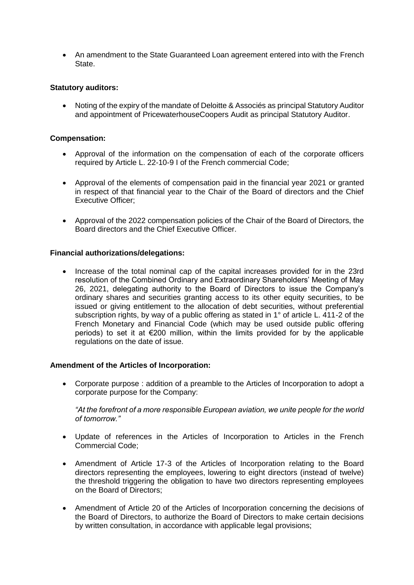An amendment to the State Guaranteed Loan agreement entered into with the French State.

## **Statutory auditors:**

 Noting of the expiry of the mandate of Deloitte & Associés as principal Statutory Auditor and appointment of PricewaterhouseCoopers Audit as principal Statutory Auditor.

#### **Compensation:**

- Approval of the information on the compensation of each of the corporate officers required by Article L. 22-10-9 I of the French commercial Code;
- Approval of the elements of compensation paid in the financial year 2021 or granted in respect of that financial year to the Chair of the Board of directors and the Chief Executive Officer;
- Approval of the 2022 compensation policies of the Chair of the Board of Directors, the Board directors and the Chief Executive Officer.

## **Financial authorizations/delegations:**

 Increase of the total nominal cap of the capital increases provided for in the 23rd resolution of the Combined Ordinary and Extraordinary Shareholders' Meeting of May 26, 2021, delegating authority to the Board of Directors to issue the Company's ordinary shares and securities granting access to its other equity securities, to be issued or giving entitlement to the allocation of debt securities, without preferential subscription rights, by way of a public offering as stated in 1° of article L. 411-2 of the French Monetary and Financial Code (which may be used outside public offering periods) to set it at €200 million, within the limits provided for by the applicable regulations on the date of issue.

#### **Amendment of the Articles of Incorporation:**

 Corporate purpose : addition of a preamble to the Articles of Incorporation to adopt a corporate purpose for the Company:

*"At the forefront of a more responsible European aviation, we unite people for the world of tomorrow."*

- Update of references in the Articles of Incorporation to Articles in the French Commercial Code;
- Amendment of Article 17-3 of the Articles of Incorporation relating to the Board directors representing the employees, lowering to eight directors (instead of twelve) the threshold triggering the obligation to have two directors representing employees on the Board of Directors;
- Amendment of Article 20 of the Articles of Incorporation concerning the decisions of the Board of Directors, to authorize the Board of Directors to make certain decisions by written consultation, in accordance with applicable legal provisions;